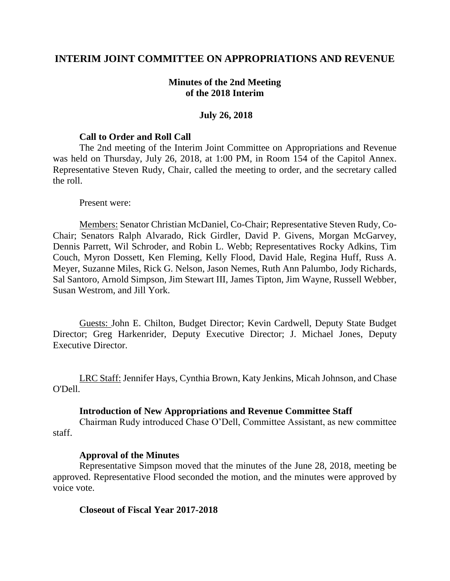# **INTERIM JOINT COMMITTEE ON APPROPRIATIONS AND REVENUE**

## **Minutes of the 2nd Meeting of the 2018 Interim**

### **July 26, 2018**

#### **Call to Order and Roll Call**

The 2nd meeting of the Interim Joint Committee on Appropriations and Revenue was held on Thursday, July 26, 2018, at 1:00 PM, in Room 154 of the Capitol Annex. Representative Steven Rudy, Chair, called the meeting to order, and the secretary called the roll.

#### Present were:

Members: Senator Christian McDaniel, Co-Chair; Representative Steven Rudy, Co-Chair; Senators Ralph Alvarado, Rick Girdler, David P. Givens, Morgan McGarvey, Dennis Parrett, Wil Schroder, and Robin L. Webb; Representatives Rocky Adkins, Tim Couch, Myron Dossett, Ken Fleming, Kelly Flood, David Hale, Regina Huff, Russ A. Meyer, Suzanne Miles, Rick G. Nelson, Jason Nemes, Ruth Ann Palumbo, Jody Richards, Sal Santoro, Arnold Simpson, Jim Stewart III, James Tipton, Jim Wayne, Russell Webber, Susan Westrom, and Jill York.

Guests: John E. Chilton, Budget Director; Kevin Cardwell, Deputy State Budget Director; Greg Harkenrider, Deputy Executive Director; J. Michael Jones, Deputy Executive Director.

LRC Staff: Jennifer Hays, Cynthia Brown, Katy Jenkins, Micah Johnson, and Chase O'Dell.

#### **Introduction of New Appropriations and Revenue Committee Staff**

Chairman Rudy introduced Chase O'Dell, Committee Assistant, as new committee staff.

#### **Approval of the Minutes**

Representative Simpson moved that the minutes of the June 28, 2018, meeting be approved. Representative Flood seconded the motion, and the minutes were approved by voice vote.

#### **Closeout of Fiscal Year 2017-2018**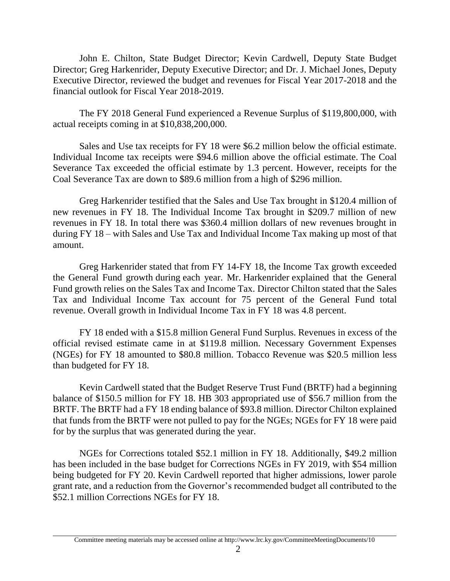John E. Chilton, State Budget Director; Kevin Cardwell, Deputy State Budget Director; Greg Harkenrider, Deputy Executive Director; and Dr. J. Michael Jones, Deputy Executive Director, reviewed the budget and revenues for Fiscal Year 2017-2018 and the financial outlook for Fiscal Year 2018-2019.

The FY 2018 General Fund experienced a Revenue Surplus of \$119,800,000, with actual receipts coming in at \$10,838,200,000.

Sales and Use tax receipts for FY 18 were \$6.2 million below the official estimate. Individual Income tax receipts were \$94.6 million above the official estimate. The Coal Severance Tax exceeded the official estimate by 1.3 percent. However, receipts for the Coal Severance Tax are down to \$89.6 million from a high of \$296 million.

Greg Harkenrider testified that the Sales and Use Tax brought in \$120.4 million of new revenues in FY 18. The Individual Income Tax brought in \$209.7 million of new revenues in FY 18. In total there was \$360.4 million dollars of new revenues brought in during FY 18 – with Sales and Use Tax and Individual Income Tax making up most of that amount.

Greg Harkenrider stated that from FY 14-FY 18, the Income Tax growth exceeded the General Fund growth during each year. Mr. Harkenrider explained that the General Fund growth relies on the Sales Tax and Income Tax. Director Chilton stated that the Sales Tax and Individual Income Tax account for 75 percent of the General Fund total revenue. Overall growth in Individual Income Tax in FY 18 was 4.8 percent.

FY 18 ended with a \$15.8 million General Fund Surplus. Revenues in excess of the official revised estimate came in at \$119.8 million. Necessary Government Expenses (NGEs) for FY 18 amounted to \$80.8 million. Tobacco Revenue was \$20.5 million less than budgeted for FY 18.

Kevin Cardwell stated that the Budget Reserve Trust Fund (BRTF) had a beginning balance of \$150.5 million for FY 18. HB 303 appropriated use of \$56.7 million from the BRTF. The BRTF had a FY 18 ending balance of \$93.8 million. Director Chilton explained that funds from the BRTF were not pulled to pay for the NGEs; NGEs for FY 18 were paid for by the surplus that was generated during the year.

NGEs for Corrections totaled \$52.1 million in FY 18. Additionally, \$49.2 million has been included in the base budget for Corrections NGEs in FY 2019, with \$54 million being budgeted for FY 20. Kevin Cardwell reported that higher admissions, lower parole grant rate, and a reduction from the Governor's recommended budget all contributed to the \$52.1 million Corrections NGEs for FY 18.

Committee meeting materials may be accessed online at http://www.lrc.ky.gov/CommitteeMeetingDocuments/10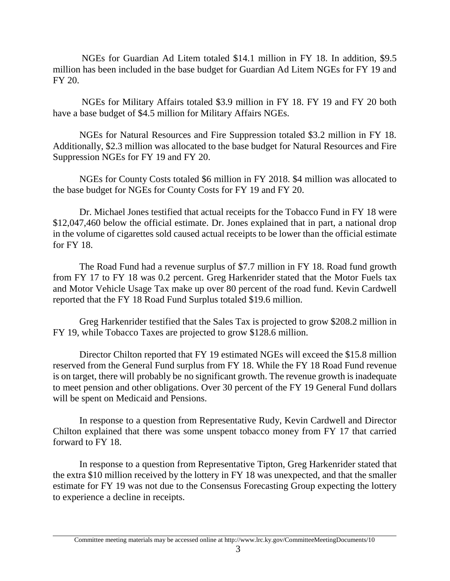NGEs for Guardian Ad Litem totaled \$14.1 million in FY 18. In addition, \$9.5 million has been included in the base budget for Guardian Ad Litem NGEs for FY 19 and FY 20.

NGEs for Military Affairs totaled \$3.9 million in FY 18. FY 19 and FY 20 both have a base budget of \$4.5 million for Military Affairs NGEs.

NGEs for Natural Resources and Fire Suppression totaled \$3.2 million in FY 18. Additionally, \$2.3 million was allocated to the base budget for Natural Resources and Fire Suppression NGEs for FY 19 and FY 20.

NGEs for County Costs totaled \$6 million in FY 2018. \$4 million was allocated to the base budget for NGEs for County Costs for FY 19 and FY 20.

Dr. Michael Jones testified that actual receipts for the Tobacco Fund in FY 18 were \$12,047,460 below the official estimate. Dr. Jones explained that in part, a national drop in the volume of cigarettes sold caused actual receipts to be lower than the official estimate for FY 18.

The Road Fund had a revenue surplus of \$7.7 million in FY 18. Road fund growth from FY 17 to FY 18 was 0.2 percent. Greg Harkenrider stated that the Motor Fuels tax and Motor Vehicle Usage Tax make up over 80 percent of the road fund. Kevin Cardwell reported that the FY 18 Road Fund Surplus totaled \$19.6 million.

Greg Harkenrider testified that the Sales Tax is projected to grow \$208.2 million in FY 19, while Tobacco Taxes are projected to grow \$128.6 million.

Director Chilton reported that FY 19 estimated NGEs will exceed the \$15.8 million reserved from the General Fund surplus from FY 18. While the FY 18 Road Fund revenue is on target, there will probably be no significant growth. The revenue growth is inadequate to meet pension and other obligations. Over 30 percent of the FY 19 General Fund dollars will be spent on Medicaid and Pensions.

In response to a question from Representative Rudy, Kevin Cardwell and Director Chilton explained that there was some unspent tobacco money from FY 17 that carried forward to FY 18.

In response to a question from Representative Tipton, Greg Harkenrider stated that the extra \$10 million received by the lottery in FY 18 was unexpected, and that the smaller estimate for FY 19 was not due to the Consensus Forecasting Group expecting the lottery to experience a decline in receipts.

Committee meeting materials may be accessed online at http://www.lrc.ky.gov/CommitteeMeetingDocuments/10